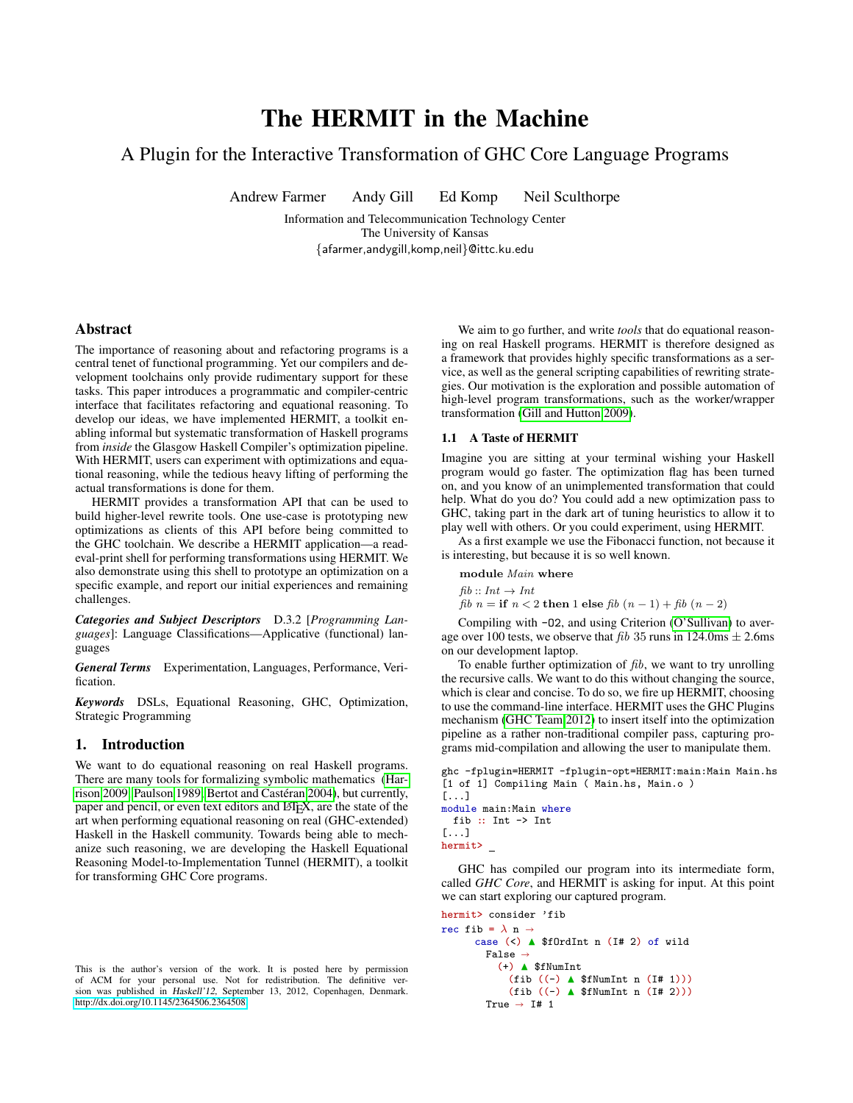# The HERMIT in the Machine

# A Plugin for the Interactive Transformation of GHC Core Language Programs

Andrew Farmer Andy Gill Ed Komp Neil Sculthorpe

Information and Telecommunication Technology Center The University of Kansas {afarmer,andygill,komp,neil}@ittc.ku.edu

## Abstract

The importance of reasoning about and refactoring programs is a central tenet of functional programming. Yet our compilers and development toolchains only provide rudimentary support for these tasks. This paper introduces a programmatic and compiler-centric interface that facilitates refactoring and equational reasoning. To develop our ideas, we have implemented HERMIT, a toolkit enabling informal but systematic transformation of Haskell programs from *inside* the Glasgow Haskell Compiler's optimization pipeline. With HERMIT, users can experiment with optimizations and equational reasoning, while the tedious heavy lifting of performing the actual transformations is done for them.

HERMIT provides a transformation API that can be used to build higher-level rewrite tools. One use-case is prototyping new optimizations as clients of this API before being committed to the GHC toolchain. We describe a HERMIT application—a readeval-print shell for performing transformations using HERMIT. We also demonstrate using this shell to prototype an optimization on a specific example, and report our initial experiences and remaining challenges.

*Categories and Subject Descriptors* D.3.2 [*Programming Languages*]: Language Classifications—Applicative (functional) languages

*General Terms* Experimentation, Languages, Performance, Verification.

*Keywords* DSLs, Equational Reasoning, GHC, Optimization, Strategic Programming

# 1. Introduction

We want to do equational reasoning on real Haskell programs. There are many tools for formalizing symbolic mathematics [\(Har](#page-11-0)[rison 2009;](#page-11-0) [Paulson 1989;](#page-11-1) Bertot and Castéran 2004), but currently, paper and pencil, or even text editors and LATEX, are the state of the art when performing equational reasoning on real (GHC-extended) Haskell in the Haskell community. Towards being able to mechanize such reasoning, we are developing the Haskell Equational Reasoning Model-to-Implementation Tunnel (HERMIT), a toolkit for transforming GHC Core programs.

This is the author's version of the work. It is posted here by permission of ACM for your personal use. Not for redistribution. The definitive version was published in Haskell'12, September 13, 2012, Copenhagen, Denmark. [http://dx.doi.org/10.1145/2364506.2364508.](http://dx.doi.org/10.1145/2364506.2364508)

We aim to go further, and write *tools* that do equational reasoning on real Haskell programs. HERMIT is therefore designed as a framework that provides highly specific transformations as a service, as well as the general scripting capabilities of rewriting strategies. Our motivation is the exploration and possible automation of high-level program transformations, such as the worker/wrapper transformation [\(Gill and Hutton 2009\)](#page-11-3).

#### 1.1 A Taste of HERMIT

Imagine you are sitting at your terminal wishing your Haskell program would go faster. The optimization flag has been turned on, and you know of an unimplemented transformation that could help. What do you do? You could add a new optimization pass to GHC, taking part in the dark art of tuning heuristics to allow it to play well with others. Or you could experiment, using HERMIT.

As a first example we use the Fibonacci function, not because it is interesting, but because it is so well known.

```
module Main where
fib: Int \rightarrow Intfib n = if n < 2 then 1 else fib (n - 1) + fib (n - 2)
```
Compiling with -O2, and using Criterion [\(O'Sullivan\)](#page-11-4) to average over 100 tests, we observe that fib 35 runs in 124.0ms  $\pm$  2.6ms on our development laptop.

To enable further optimization of  $fib$ , we want to try unrolling the recursive calls. We want to do this without changing the source, which is clear and concise. To do so, we fire up HERMIT, choosing to use the command-line interface. HERMIT uses the GHC Plugins mechanism [\(GHC Team 2012\)](#page-11-5) to insert itself into the optimization pipeline as a rather non-traditional compiler pass, capturing programs mid-compilation and allowing the user to manipulate them.

ghc -fplugin=HERMIT -fplugin-opt=HERMIT:main:Main Main.hs [1 of 1] Compiling Main ( Main.hs, Main.o ) [...] module main:Main where fib :: Int -> Int [...]

hermit>

GHC has compiled our program into its intermediate form, called *GHC Core*, and HERMIT is asking for input. At this point we can start exploring our captured program.

```
hermit> consider 'fib
rec fib = \lambda n \rightarrowcase (\le) A $f0rdInt n (I# 2) of wild
         False \rightarrow(+) A $fNumInt(fib ((-) \triangle $fNumInt n (I# 1)))
               (fib ((-) \triangle $fNumInt n (I# 2)))
         True \rightarrow I# 1
```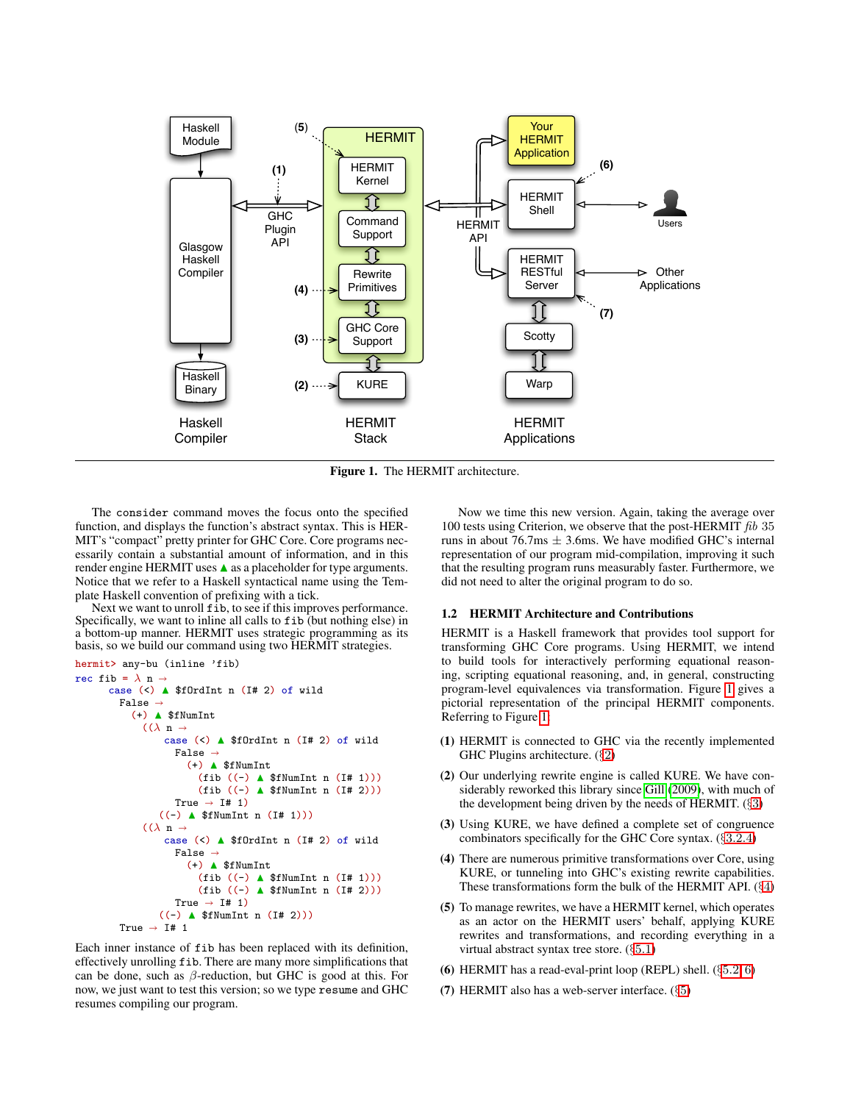

<span id="page-1-0"></span>Figure 1. The HERMIT architecture.

The consider command moves the focus onto the specified function, and displays the function's abstract syntax. This is HER-MIT's "compact" pretty printer for GHC Core. Core programs necessarily contain a substantial amount of information, and in this render engine HERMIT uses ▲ as a placeholder for type arguments. Notice that we refer to a Haskell syntactical name using the Template Haskell convention of prefixing with a tick.

Next we want to unroll  $f$ **i**b, to see if this improves performance. Specifically, we want to inline all calls to fib (but nothing else) in a bottom-up manner. HERMIT uses strategic programming as its basis, so we build our command using two HERMIT strategies.

```
hermit> any-bu (inline 'fib)
rec fib = \lambda n \rightarrowcase (\le) A $f0rdInt n (I# 2) of wild
          False \rightarrow(+) A $fNumInt
                 ((\lambda n)^2)case (\le) A $f0rdInt n (I# 2) of wild
                        False \rightarrow(+) A $fNumInt
                              (fib ((-) \blacktriangle $fNumInt n (I# 1)))
                        (fib ((-) \triangle $fNumInt n (I# 2)))<br>True \rightarrow T# 1)
                     True \rightarrow I# 1)<br>((-) \blacktriangle $fNumInt n (I# 1)))
                 ((\lambda \ n \rightarrowcase (\langle) A $f0rdInt n (I# 2) of wild
                        False \rightarrow(+) A $fNumber(fib ((-) \triangle $fNumInt n (I# 1)))
                              (fib ((-) \triangle $fNumInt n (I# 2)))
                        True \rightarrow I# 1)
                    ((-) \blacktriangle $fNumInt n (I# 2)))True \rightarrow I# 1
```
Each inner instance of fib has been replaced with its definition, effectively unrolling fib. There are many more simplifications that can be done, such as  $\beta$ -reduction, but GHC is good at this. For now, we just want to test this version; so we type resume and GHC resumes compiling our program.

Now we time this new version. Again, taking the average over 100 tests using Criterion, we observe that the post-HERMIT fib 35 runs in about  $76.7 \text{ms} \pm 3.6 \text{ms}$ . We have modified GHC's internal representation of our program mid-compilation, improving it such that the resulting program runs measurably faster. Furthermore, we did not need to alter the original program to do so.

#### 1.2 HERMIT Architecture and Contributions

HERMIT is a Haskell framework that provides tool support for transforming GHC Core programs. Using HERMIT, we intend to build tools for interactively performing equational reasoning, scripting equational reasoning, and, in general, constructing program-level equivalences via transformation. Figure [1](#page-1-0) gives a pictorial representation of the principal HERMIT components. Referring to Figure [1:](#page-1-0)

- (1) HERMIT is connected to GHC via the recently implemented GHC Plugins architecture. (§[2](#page-2-0))
- (2) Our underlying rewrite engine is called KURE. We have considerably reworked this library since [Gill](#page-11-6) [\(2009\)](#page-11-6), with much of the development being driven by the needs of HERMIT. (§[3](#page-2-1))
- (3) Using KURE, we have defined a complete set of congruence combinators specifically for the GHC Core syntax. (§[3](#page-5-0).2.4)
- (4) There are numerous primitive transformations over Core, using KURE, or tunneling into GHC's existing rewrite capabilities. These transformations form the bulk of the HERMIT API. (§[4](#page-6-0))
- (5) To manage rewrites, we have a HERMIT kernel, which operates as an actor on the HERMIT users' behalf, applying KURE rewrites and transformations, and recording everything in a virtual abstract syntax tree store. (§[5](#page-7-0).1)
- ([6](#page-7-2)) HERMIT has a read-eval-print loop (REPL) shell.  $(\$5.2, 6)$  $(\$5.2, 6)$  $(\$5.2, 6)$
- (7) HERMIT also has a web-server interface. (§[5](#page-7-3))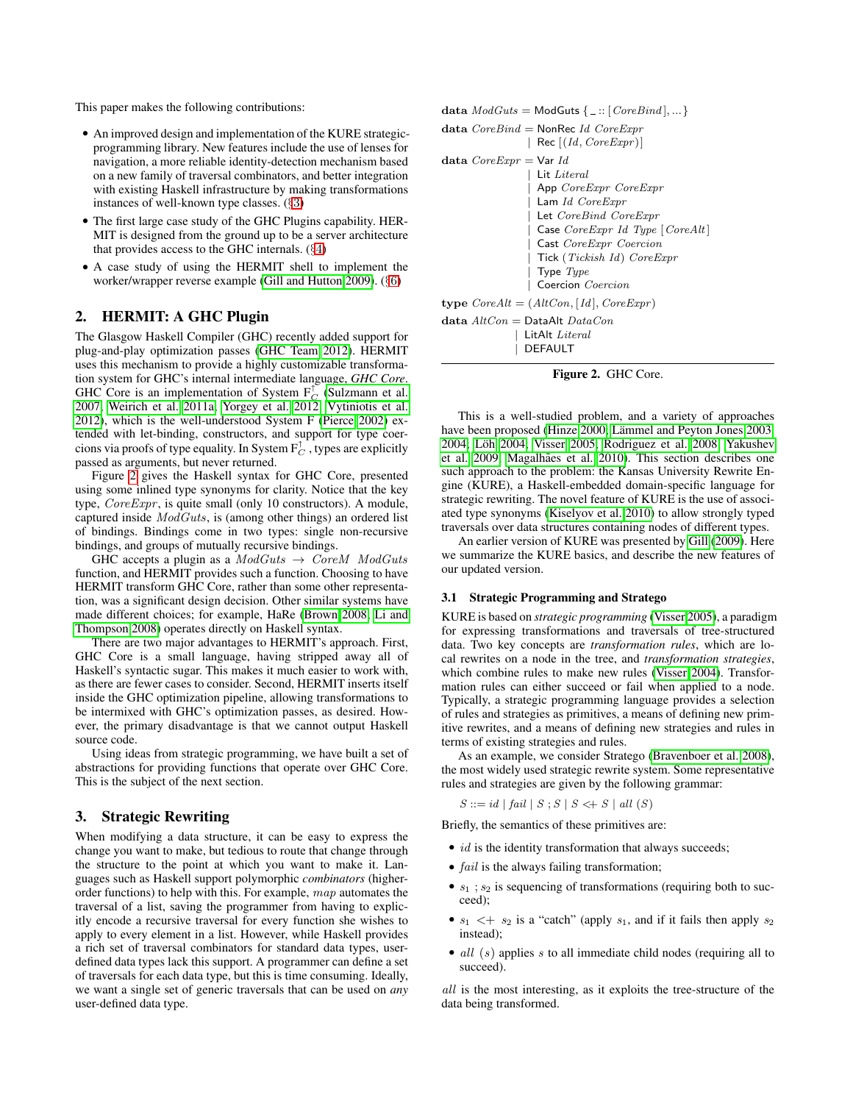This paper makes the following contributions:

- An improved design and implementation of the KURE strategicprogramming library. New features include the use of lenses for navigation, a more reliable identity-detection mechanism based on a new family of traversal combinators, and better integration with existing Haskell infrastructure by making transformations instances of well-known type classes. (§[3](#page-2-1))
- The first large case study of the GHC Plugins capability. HER-MIT is designed from the ground up to be a server architecture that provides access to the GHC internals.  $(\S4)$  $(\S4)$  $(\S4)$
- A case study of using the HERMIT shell to implement the worker/wrapper reverse example [\(Gill and Hutton 2009\)](#page-11-3). (§[6](#page-7-2))

# <span id="page-2-0"></span>2. HERMIT: A GHC Plugin

The Glasgow Haskell Compiler (GHC) recently added support for plug-and-play optimization passes [\(GHC Team 2012\)](#page-11-5). HERMIT uses this mechanism to provide a highly customizable transformation system for GHC's internal intermediate language, *GHC Core*. GHC Core is an implementation of System  $F_C^{\dagger}$  [\(Sulzmann et al.](#page-11-7) [2007;](#page-11-7) [Weirich et al. 2011a;](#page-11-8) [Yorgey et al. 2012;](#page-11-9) [Vytiniotis et al.](#page-11-10) [2012\)](#page-11-10), which is the well-understood System F [\(Pierce 2002\)](#page-11-11) extended with let-binding, constructors, and support for type coercions via proofs of type equality. In System  $F_C^{\dagger}$  , types are explicitly passed as arguments, but never returned.

Figure [2](#page-2-2) gives the Haskell syntax for GHC Core, presented using some inlined type synonyms for clarity. Notice that the key type, CoreExpr, is quite small (only 10 constructors). A module, captured inside ModGuts, is (among other things) an ordered list of bindings. Bindings come in two types: single non-recursive bindings, and groups of mutually recursive bindings.

GHC accepts a plugin as a  $ModGuts \rightarrow CoreM$   $ModGuts$ function, and HERMIT provides such a function. Choosing to have HERMIT transform GHC Core, rather than some other representation, was a significant design decision. Other similar systems have made different choices; for example, HaRe [\(Brown 2008;](#page-11-12) [Li and](#page-11-13) [Thompson 2008\)](#page-11-13) operates directly on Haskell syntax.

There are two major advantages to HERMIT's approach. First, GHC Core is a small language, having stripped away all of Haskell's syntactic sugar. This makes it much easier to work with, as there are fewer cases to consider. Second, HERMIT inserts itself inside the GHC optimization pipeline, allowing transformations to be intermixed with GHC's optimization passes, as desired. However, the primary disadvantage is that we cannot output Haskell source code.

Using ideas from strategic programming, we have built a set of abstractions for providing functions that operate over GHC Core. This is the subject of the next section.

# <span id="page-2-1"></span>3. Strategic Rewriting

When modifying a data structure, it can be easy to express the change you want to make, but tedious to route that change through the structure to the point at which you want to make it. Languages such as Haskell support polymorphic *combinators* (higherorder functions) to help with this. For example, map automates the traversal of a list, saving the programmer from having to explicitly encode a recursive traversal for every function she wishes to apply to every element in a list. However, while Haskell provides a rich set of traversal combinators for standard data types, userdefined data types lack this support. A programmer can define a set of traversals for each data type, but this is time consuming. Ideally, we want a single set of generic traversals that can be used on *any* user-defined data type.

data  $ModGuts = ModGuts \{ \dots [CoreBind], \dots \}$ 

|                                                      | $data \; CoreBind = \textsf{NonRec} \; Id \; CoreExpr$ |  |
|------------------------------------------------------|--------------------------------------------------------|--|
|                                                      | Rec $[(Id, CoreExpr)]$                                 |  |
| $det_{\alpha}$ $C_{\alpha}$ $E_{\alpha}$ $=$ $VarId$ |                                                        |  |

| data $CoreExpr = Var Id$                         |
|--------------------------------------------------|
| Lit Literal                                      |
| App CoreExpr CoreExpr                            |
| Lam Id CoreExpr                                  |
| Let CoreBind CoreExpr                            |
| Case $CoreExpr$ Id Type $[CoreAlt]$              |
| Cast CoreExpr Coercion                           |
| Tick ( <i>Tickish Id</i> ) CoreExpr              |
| Type $Type$                                      |
| Coercion Coercion                                |
| <b>type</b> $CoreAlt = (AltCon,  Id , CoreExpr)$ |
| $data\text{ }AltCon = DataAlt\text{ }DataCon$    |
| LitAlt Literal                                   |
| DEFAULT                                          |
|                                                  |

<span id="page-2-2"></span>

This is a well-studied problem, and a variety of approaches have been proposed [\(Hinze 2000;](#page-11-14) Lämmel and Peyton Jones 2003, [2004;](#page-11-16) Löh 2004; [Visser 2005;](#page-11-18) [Rodriguez et al. 2008;](#page-11-19) [Yakushev](#page-11-20) [et al. 2009;](#page-11-20) Magalhães et al. 2010). This section describes one such approach to the problem: the Kansas University Rewrite Engine (KURE), a Haskell-embedded domain-specific language for strategic rewriting. The novel feature of KURE is the use of associated type synonyms [\(Kiselyov et al. 2010\)](#page-11-22) to allow strongly typed traversals over data structures containing nodes of different types.

An earlier version of KURE was presented by [Gill](#page-11-6) [\(2009\)](#page-11-6). Here we summarize the KURE basics, and describe the new features of our updated version.

#### <span id="page-2-3"></span>3.1 Strategic Programming and Stratego

KURE is based on *strategic programming* [\(Visser 2005\)](#page-11-18), a paradigm for expressing transformations and traversals of tree-structured data. Two key concepts are *transformation rules*, which are local rewrites on a node in the tree, and *transformation strategies*, which combine rules to make new rules [\(Visser 2004\)](#page-11-23). Transformation rules can either succeed or fail when applied to a node. Typically, a strategic programming language provides a selection of rules and strategies as primitives, a means of defining new primitive rewrites, and a means of defining new strategies and rules in terms of existing strategies and rules.

As an example, we consider Stratego [\(Bravenboer et al. 2008\)](#page-11-24), the most widely used strategic rewrite system. Some representative rules and strategies are given by the following grammar:

 $S ::= id | fail | S ; S | S \leftarrow S | all (S)$ 

Briefly, the semantics of these primitives are:

- $\bullet$  *id* is the identity transformation that always succeeds;
- *fail* is the always failing transformation;
- $s_1$ ;  $s_2$  is sequencing of transformations (requiring both to succeed);
- $s_1 \leq s_2$  is a "catch" (apply  $s_1$ , and if it fails then apply  $s_2$ instead);
- all  $(s)$  applies s to all immediate child nodes (requiring all to succeed).

all is the most interesting, as it exploits the tree-structure of the data being transformed.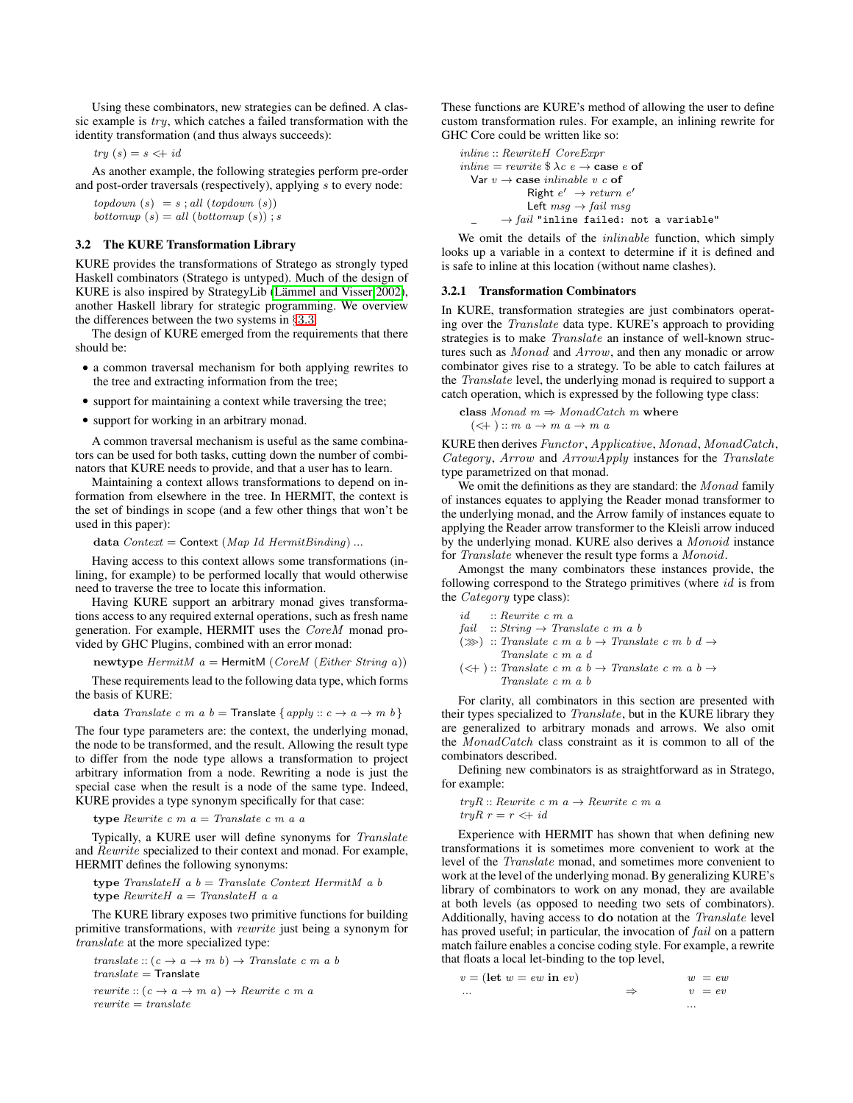Using these combinators, new strategies can be defined. A classic example is try, which catches a failed transformation with the identity transformation (and thus always succeeds):

 $try(s) = s \leq t \text{ id}$ 

As another example, the following strategies perform pre-order and post-order traversals (respectively), applying s to every node:

topdown  $(s) = s$ ; all  $(topdown(s))$ bottomup  $(s) = all (bottomup (s))$ ; s

#### <span id="page-3-0"></span>3.2 The KURE Transformation Library

KURE provides the transformations of Stratego as strongly typed Haskell combinators (Stratego is untyped). Much of the design of KURE is also inspired by StrategyLib (Lämmel and Visser 2002), another Haskell library for strategic programming. We overview the differences between the two systems in §[3](#page-6-1).3.

The design of KURE emerged from the requirements that there should be:

- a common traversal mechanism for both applying rewrites to the tree and extracting information from the tree;
- support for maintaining a context while traversing the tree;
- support for working in an arbitrary monad.

A common traversal mechanism is useful as the same combinators can be used for both tasks, cutting down the number of combinators that KURE needs to provide, and that a user has to learn.

Maintaining a context allows transformations to depend on information from elsewhere in the tree. In HERMIT, the context is the set of bindings in scope (and a few other things that won't be used in this paper):

data  $Context =$  Context (Map Id HermitBinding)...

Having access to this context allows some transformations (inlining, for example) to be performed locally that would otherwise need to traverse the tree to locate this information.

Having KURE support an arbitrary monad gives transformations access to any required external operations, such as fresh name generation. For example, HERMIT uses the CoreM monad provided by GHC Plugins, combined with an error monad:

newtype  $HermitM$   $a =$  HermitM (CoreM (Either String a))

These requirements lead to the following data type, which forms the basis of KURE:

data *Translate c m a b* = Translate {  $apply :: c \rightarrow a \rightarrow m b$  }

The four type parameters are: the context, the underlying monad, the node to be transformed, and the result. Allowing the result type to differ from the node type allows a transformation to project arbitrary information from a node. Rewriting a node is just the special case when the result is a node of the same type. Indeed, KURE provides a type synonym specifically for that case:

type  $Rewrite\ c\ m\ a = Translate\ c\ m\ a\ a$ 

Typically, a KURE user will define synonyms for Translate and Rewrite specialized to their context and monad. For example, HERMIT defines the following synonyms:

type TranslateH  $a b = Translate$  Context HermitM  $a b$ type  $RewriteH$   $a = TranslateH$   $a$   $a$ 

The KURE library exposes two primitive functions for building primitive transformations, with rewrite just being a synonym for translate at the more specialized type:

translate  $:(c \rightarrow a \rightarrow m b) \rightarrow Translate\ c\ m\ a\ b$  $translate =$ Translate rewrite  $:(c \rightarrow a \rightarrow m a) \rightarrow Rewrite\ c\ m\ a$  $rewrite = translate$ 

These functions are KURE's method of allowing the user to define custom transformation rules. For example, an inlining rewrite for GHC Core could be written like so:

```
inline :: RewriteH CoreExpr
inline = rewrite \lambda c e \rightarrow \text{case } e \text{ of }Var v \rightarrow \textbf{case} inlinable v c of
                  Right e' \rightarrow return e'Left msg \rightarrow fail msq
           \rightarrow fail "inline failed: not a variable"
```
We omit the details of the *inlinable* function, which simply looks up a variable in a context to determine if it is defined and is safe to inline at this location (without name clashes).

#### <span id="page-3-1"></span>3.2.1 Transformation Combinators

In KURE, transformation strategies are just combinators operating over the Translate data type. KURE's approach to providing strategies is to make Translate an instance of well-known structures such as *Monad* and *Arrow*, and then any monadic or arrow combinator gives rise to a strategy. To be able to catch failures at the Translate level, the underlying monad is required to support a catch operation, which is expressed by the following type class:

class Monad  $m \Rightarrow Monad Catch$  m where

 $( $\rightarrow$  :: m a \rightarrow m a \rightarrow m a$ 

KURE then derives Functor, Applicative, Monad, MonadCatch, Category, Arrow and ArrowApply instances for the Translate type parametrized on that monad.

We omit the definitions as they are standard: the *Monad* family of instances equates to applying the Reader monad transformer to the underlying monad, and the Arrow family of instances equate to applying the Reader arrow transformer to the Kleisli arrow induced by the underlying monad. KURE also derives a Monoid instance for *Translate* whenever the result type forms a *Monoid*.

Amongst the many combinators these instances provide, the following correspond to the Stratego primitives (where id is from the Category type class):

$$
\begin{array}{ll}\n\text{id} & :: \textit{Rewrite } c \textit{ m} \textit{ a} \\
\text{fail} & :: \textit{String} \rightarrow \textit{Translate } c \textit{ m} \textit{ a} \textit{ b} \\
(\ggg) & :: \textit{Translate } c \textit{ m} \textit{ a} \textit{ b} \rightarrow \textit{Translate } c \textit{ m} \textit{ b} \textit{ d} \rightarrow \\
& \textit{Translate } c \textit{ m} \textit{ a} \textit{ b} \rightarrow \textit{Translate } c \textit{ m} \textit{ a} \textit{ b} \rightarrow \\
& \textit{Translate } c \textit{ m} \textit{ a} \textit{ b}\n\end{array}
$$

For clarity, all combinators in this section are presented with their types specialized to Translate, but in the KURE library they are generalized to arbitrary monads and arrows. We also omit the MonadCatch class constraint as it is common to all of the combinators described.

Defining new combinators is as straightforward as in Stratego, for example:

$$
tryR :: Rewrite\ c\ m\ a \rightarrow Rewrite\ c\ m\ a
$$

$$
tryR\ r = r \ll +\ id
$$

Experience with HERMIT has shown that when defining new transformations it is sometimes more convenient to work at the level of the Translate monad, and sometimes more convenient to work at the level of the underlying monad. By generalizing KURE's library of combinators to work on any monad, they are available at both levels (as opposed to needing two sets of combinators). Additionally, having access to do notation at the Translate level has proved useful; in particular, the invocation of *fail* on a pattern match failure enables a concise coding style. For example, a rewrite that floats a local let-binding to the top level,

$$
v = (\text{let } w = ew \text{ in } ev)
$$
  
...  

$$
w = ew
$$
  

$$
v = ev
$$
  
...  
...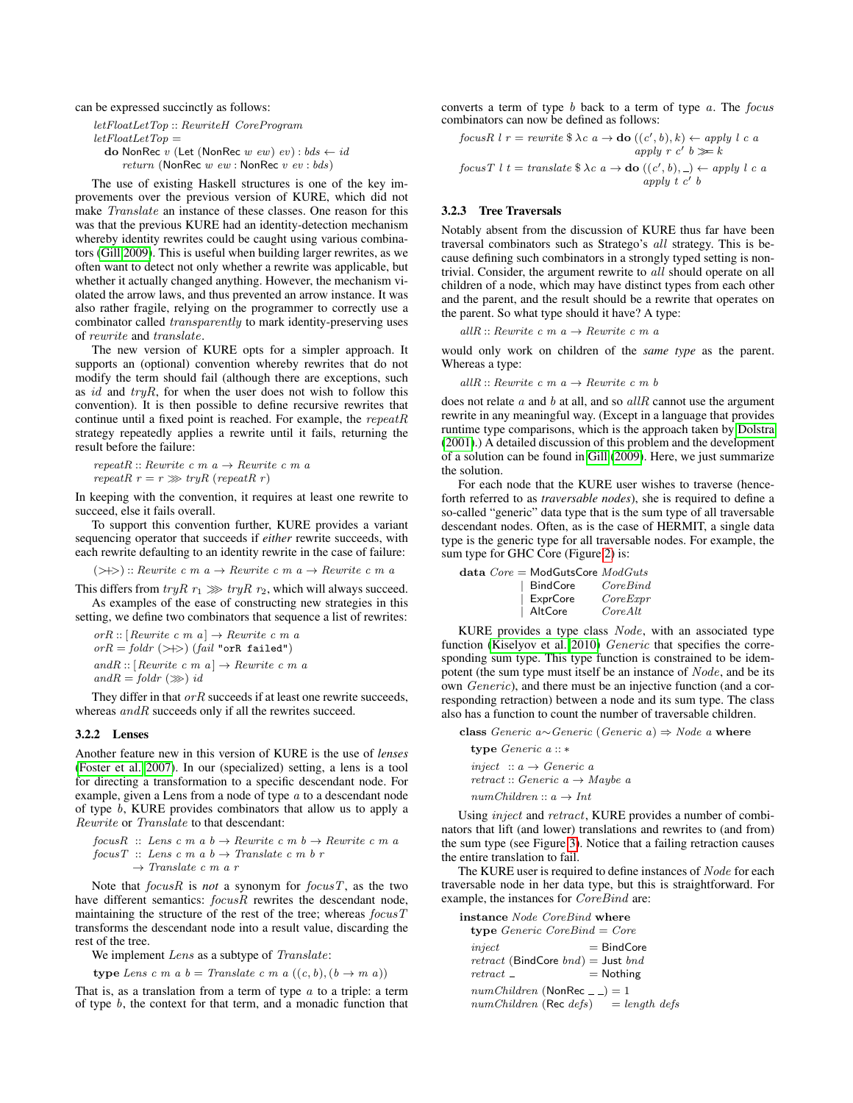can be expressed succinctly as follows:

letFloatLetTop :: RewriteH CoreProgram  $letFloatLetTop =$ do NonRec v (Let (NonRec w ew) ev) : bds  $\leftarrow id$ return (NonRec  $w$  ew : NonRec  $v$  ev : bds)

The use of existing Haskell structures is one of the key improvements over the previous version of KURE, which did not make Translate an instance of these classes. One reason for this was that the previous KURE had an identity-detection mechanism whereby identity rewrites could be caught using various combinators [\(Gill 2009\)](#page-11-6). This is useful when building larger rewrites, as we often want to detect not only whether a rewrite was applicable, but whether it actually changed anything. However, the mechanism violated the arrow laws, and thus prevented an arrow instance. It was also rather fragile, relying on the programmer to correctly use a combinator called transparently to mark identity-preserving uses of rewrite and translate.

The new version of KURE opts for a simpler approach. It supports an (optional) convention whereby rewrites that do not modify the term should fail (although there are exceptions, such as id and  $tryR$ , for when the user does not wish to follow this convention). It is then possible to define recursive rewrites that continue until a fixed point is reached. For example, the repeatR strategy repeatedly applies a rewrite until it fails, returning the result before the failure:

 $repeatR :: Rewrite\ c\ m\ a \rightarrow Rewrite\ c\ m\ a$ repeatR  $r = r \gg r \nu R$  (repeatR r)

In keeping with the convention, it requires at least one rewrite to succeed, else it fails overall.

To support this convention further, KURE provides a variant sequencing operator that succeeds if *either* rewrite succeeds, with each rewrite defaulting to an identity rewrite in the case of failure:

 $(\gg\gtrdot\gg)$  :: Rewrite c m a  $\rightarrow$  Rewrite c m a  $\rightarrow$  Rewrite c m a

This differs from  $tryR r_1 \gg y R r_2$ , which will always succeed. As examples of the ease of constructing new strategies in this setting, we define two combinators that sequence a list of rewrites:

 $orR :: [Rewrite\ c\ m\ a] \rightarrow Rewrite\ c\ m\ a$  $orR = foldr \ (\Longrightarrow>) \ (fail \ "orR \ failed")$ andR :: [Rewrite c m a]  $\rightarrow$  Rewrite c m a and $R = f$ oldr  $(\ggg)$  id

They differ in that  $orR$  succeeds if at least one rewrite succeeds, whereas andR succeeds only if all the rewrites succeed.

#### 3.2.2 Lenses

Another feature new in this version of KURE is the use of *lenses* [\(Foster et al. 2007\)](#page-11-26). In our (specialized) setting, a lens is a tool for directing a transformation to a specific descendant node. For example, given a Lens from a node of type a to a descendant node of type b, KURE provides combinators that allow us to apply a Rewrite or Translate to that descendant:

```
focusR :: Lens~c~m~a~b \rightarrow Rewrite~c~m~b \rightarrow Rewrite~c~m~afocusT :: Lens\ c\ m\ a\ b \rightarrow Translate\ c\ m\ b\ r\rightarrow Translate c m a r
```
Note that  $focusR$  is *not* a synonym for  $focusT$ , as the two have different semantics: *focusR* rewrites the descendant node, maintaining the structure of the rest of the tree; whereas  $f \circ c \circ u \circ T$ transforms the descendant node into a result value, discarding the rest of the tree.

We implement Lens as a subtype of Translate:

type Lens c m a  $b = Translate$  c m a  $((c, b), (b \rightarrow m a))$ 

That is, as a translation from a term of type  $a$  to a triple: a term of type  $b$ , the context for that term, and a monadic function that converts a term of type  $b$  back to a term of type  $a$ . The focus combinators can now be defined as follows:

focusR l r = rewrite \$ λc a → do ((c 0 , b), k) ← apply l c a apply r c<sup>0</sup> b >>= k focusT l t = translate \$ λc a → do ((c 0 , b), ) ← apply l c a apply t c<sup>0</sup> b

#### <span id="page-4-0"></span>3.2.3 Tree Traversals

Notably absent from the discussion of KURE thus far have been traversal combinators such as Stratego's all strategy. This is because defining such combinators in a strongly typed setting is nontrivial. Consider, the argument rewrite to all should operate on all children of a node, which may have distinct types from each other and the parent, and the result should be a rewrite that operates on the parent. So what type should it have? A type:

all $R$  :: Rewrite c m a  $\rightarrow$  Rewrite c m a

would only work on children of the *same type* as the parent. Whereas a type:

all $R$  :: Rewrite c m a  $\rightarrow$  Rewrite c m b

does not relate  $a$  and  $b$  at all, and so  $allR$  cannot use the argument rewrite in any meaningful way. (Except in a language that provides runtime type comparisons, which is the approach taken by [Dolstra](#page-11-27) [\(2001\)](#page-11-27).) A detailed discussion of this problem and the development of a solution can be found in [Gill](#page-11-6) [\(2009\)](#page-11-6). Here, we just summarize the solution.

For each node that the KURE user wishes to traverse (henceforth referred to as *traversable nodes*), she is required to define a so-called "generic" data type that is the sum type of all traversable descendant nodes. Often, as is the case of HERMIT, a single data type is the generic type for all traversable nodes. For example, the sum type for GHC Core (Figure [2\)](#page-2-2) is:

| $\mathtt{data}~Core=$ ModGutsCore $ModGuts$ |           |
|---------------------------------------------|-----------|
| BindCore                                    | CoreBind  |
| $ $ ExprCore                                | CoreError |
| AltCore                                     | CoreAlt   |

KURE provides a type class Node, with an associated type function [\(Kiselyov et al. 2010\)](#page-11-22) Generic that specifies the corresponding sum type. This type function is constrained to be idempotent (the sum type must itself be an instance of Node, and be its own Generic), and there must be an injective function (and a corresponding retraction) between a node and its sum type. The class also has a function to count the number of traversable children.

class Generic a∼Generic (Generic a)  $\Rightarrow$  Node a where

type Generic a :: ∗ inject  $\therefore a \rightarrow \text{Generic } a$ retract :: Generic  $a \rightarrow Maybe\ a$  $numChildren :: a \rightarrow Int$ 

Using inject and retract, KURE provides a number of combinators that lift (and lower) translations and rewrites to (and from) the sum type (see Figure [3\)](#page-5-1). Notice that a failing retraction causes the entire translation to fail.

The KURE user is required to define instances of Node for each traversable node in her data type, but this is straightforward. For example, the instances for CoreBind are:

instance Node CoreBind where type  $\text{Generic Core}$   $\text{Core}$   $\text{Bin}$  =  $\text{Core}$  $\text{inject}$   $=$  BindCore  $retract$  (BindCore  $bnd$ ) = Just  $bnd$  $retract =$   $Nothing$  $numChildren$  (NonRec  $\_$ ) = 1  $numChildren$  (Rec defs) = length defs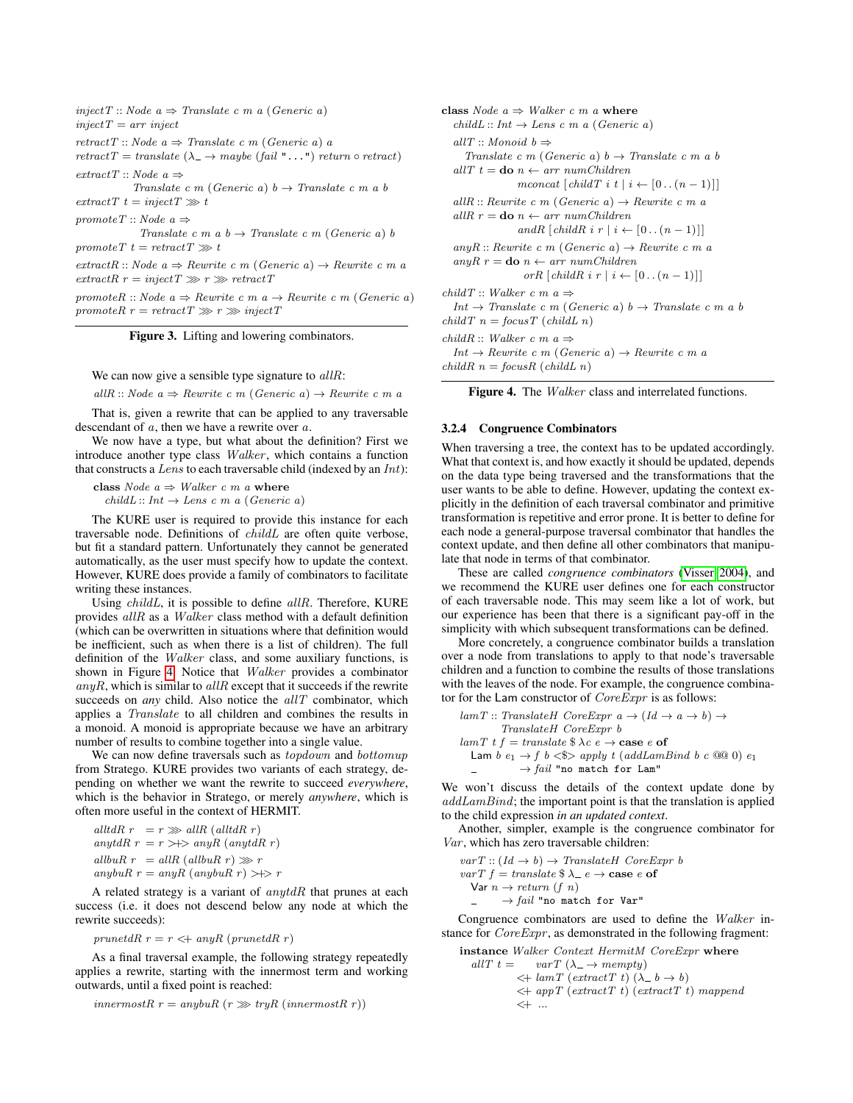$injectT :: Node a \Rightarrow Translate \ c \ m \ a \ (Generic \ a)$  $injectT = arr\ inject$ retractT :: Node  $a \Rightarrow$  Translate c m (Generic a) a  $retractT = translate (\lambda \rightarrow maybe (fail \dots) return \circ retract)$ extract  $T$  :: Node  $a \Rightarrow$ Translate c m (Generic a)  $b \rightarrow$  Translate c m a b  $extractT t = injectT \gg t$  $promoteT :: Node \ a \Rightarrow$ Translate c m a  $b \rightarrow$  Translate c m (Generic a) b promote  $T t = retract T \gg t$  $extractR :: Node a \Rightarrow Rewrite c m (Generic a) \rightarrow Rewrite c m a$ extractR  $r = inject T \gg r \gg retract T$ promoteR :: Node  $a \Rightarrow$  Rewrite c m  $a \rightarrow$  Rewrite c m (Generic a) promoteR  $r = retractT \gg r \gg injectT$ 

<span id="page-5-1"></span>Figure 3. Lifting and lowering combinators.

We can now give a sensible type signature to allR:

allR :: Node  $a \Rightarrow$  Rewrite c m (Generic a)  $\rightarrow$  Rewrite c m a

That is, given a rewrite that can be applied to any traversable descendant of a, then we have a rewrite over a.

We now have a type, but what about the definition? First we introduce another type class Walker, which contains a function that constructs a Lens to each traversable child (indexed by an  $Int$ ):

class Node  $a \Rightarrow$  Walker c m a where  $childL: Int \rightarrow Lens\ c\ m\ a\ (Generic\ a)$ 

The KURE user is required to provide this instance for each traversable node. Definitions of childL are often quite verbose, but fit a standard pattern. Unfortunately they cannot be generated automatically, as the user must specify how to update the context. However, KURE does provide a family of combinators to facilitate writing these instances.

Using childL, it is possible to define allR. Therefore, KURE provides allR as a Walker class method with a default definition (which can be overwritten in situations where that definition would be inefficient, such as when there is a list of children). The full definition of the Walker class, and some auxiliary functions, is shown in Figure [4.](#page-5-2) Notice that Walker provides a combinator  $anyR$ , which is similar to  $allR$  except that it succeeds if the rewrite succeeds on *any* child. Also notice the *allT* combinator, which applies a Translate to all children and combines the results in a monoid. A monoid is appropriate because we have an arbitrary number of results to combine together into a single value.

We can now define traversals such as topdown and bottomup from Stratego. KURE provides two variants of each strategy, depending on whether we want the rewrite to succeed *everywhere*, which is the behavior in Stratego, or merely *anywhere*, which is often more useful in the context of HERMIT.

```
alltdR r = r \gg allR (alltdR r)
anytdR r = r \gg \gganyR (anytdR r)
allbuR r = allR (allbuR r) \gg ranybuR r = anyR (anybuR r) \Rightarrow r
```
A related strategy is a variant of  $anytdR$  that prunes at each success (i.e. it does not descend below any node at which the rewrite succeeds):

prunetdR  $r = r \leftrightarrow anyR$  (prunetdR r)

As a final traversal example, the following strategy repeatedly applies a rewrite, starting with the innermost term and working outwards, until a fixed point is reached:

 $innermostR r = anyb uR (r \gg tryR (innermostR r))$ 

class Node  $a \Rightarrow$  Walker c m a where  $childL: Int \rightarrow Lens\ c\ m\ a\ (Generic\ a)$ allT :: Monoid b  $\Rightarrow$ Translate c m (Generic a)  $b \rightarrow$  Translate c m a b allT  $t =$ **do**  $n \leftarrow arr$  numChildren mconcat  $\lceil \text{child} T \, i \, t \mid i \leftarrow [0 \, . \, (n-1)] \rceil$ allR :: Rewrite c m (Generic a)  $\rightarrow$  Rewrite c m a allR  $r =$  do  $n \leftarrow arr \ numChildren$ andR  $[childR \, i \, r \mid i \leftarrow [0 \, . \, (n-1)]]$  $anyR::Rewrite\ c\ m\ (Generic\ a) \rightarrow Rewrite\ c\ m\ a$ anyR  $r =$  do  $n \leftarrow arr \ numChildren$ orR  $\lceil \text{childR} \, i \, r \rceil \, i \leftarrow [0 \, . \, (n-1)] \rceil$  $childT :: Walker\ c\ m\ a \Rightarrow$  $Int \to Translate\ c\ m\ (Generic\ a)\ b\to Translate\ c\ m\ a\ b$  $childT$   $n = focusT$  (child  $n)$ ) childR :: Walker c m a  $\Rightarrow$  $Int \to Rewrite\ c\ m\ (Generic\ a) \to Rewrite\ c\ m\ a$  $childR$   $n = focusR$   $(childL n)$ 

<span id="page-5-2"></span>Figure 4. The *Walker* class and interrelated functions.

#### <span id="page-5-0"></span>3.2.4 Congruence Combinators

When traversing a tree, the context has to be updated accordingly. What that context is, and how exactly it should be updated, depends on the data type being traversed and the transformations that the user wants to be able to define. However, updating the context explicitly in the definition of each traversal combinator and primitive transformation is repetitive and error prone. It is better to define for each node a general-purpose traversal combinator that handles the context update, and then define all other combinators that manipulate that node in terms of that combinator.

These are called *congruence combinators* [\(Visser 2004\)](#page-11-23), and we recommend the KURE user defines one for each constructor of each traversable node. This may seem like a lot of work, but our experience has been that there is a significant pay-off in the simplicity with which subsequent transformations can be defined.

More concretely, a congruence combinator builds a translation over a node from translations to apply to that node's traversable children and a function to combine the results of those translations with the leaves of the node. For example, the congruence combinator for the Lam constructor of CoreExpr is as follows:

$$
lamT :: TranslateH \; CoreExpr \; a \rightarrow (Id \rightarrow a \rightarrow b) \rightarrow
$$
\n
$$
TranslateH \; CoreExpr \; b
$$
\n
$$
lamT \; t \; f = translate \; \$ \; \lambda c \; e \rightarrow \textbf{case} \; e \; \textbf{of}
$$
\n
$$
lam \; b \; e_1 \rightarrow f \; b \; \textbf{&\$>} \; apply \; t \; (addLamBind \; b \; c \; @ @ \; 0) \; e_1
$$
\n
$$
- \rightarrow fail \text{ "no match for Lam"}
$$

We won't discuss the details of the context update done by  $addLamBind$ ; the important point is that the translation is applied to the child expression *in an updated context*.

Another, simpler, example is the congruence combinator for Var, which has zero traversable children:

 $varT$  ::  $(Id \rightarrow b) \rightarrow TranslateH$  CoreExpr b  $varT f = translate \$   $\lambda e \rightarrow \textbf{case} \ e \ \textbf{of}$ Var  $n \rightarrow return (f \; n)$  $\rightarrow$  fail "no match for Var"

Congruence combinators are used to define the Walker instance for *CoreExpr*, as demonstrated in the following fragment:

**instance** Walker Context HermitM CoreExpr where

$$
allT t = varT (\lambda_{-} \rightarrow mempty)
$$
  

$$
\iff lamT (extractT t) (\lambda_{-} b \rightarrow b)
$$
  

$$
\iff appT (extractT t) (extractT t) mapend
$$
  

$$
\iff ...
$$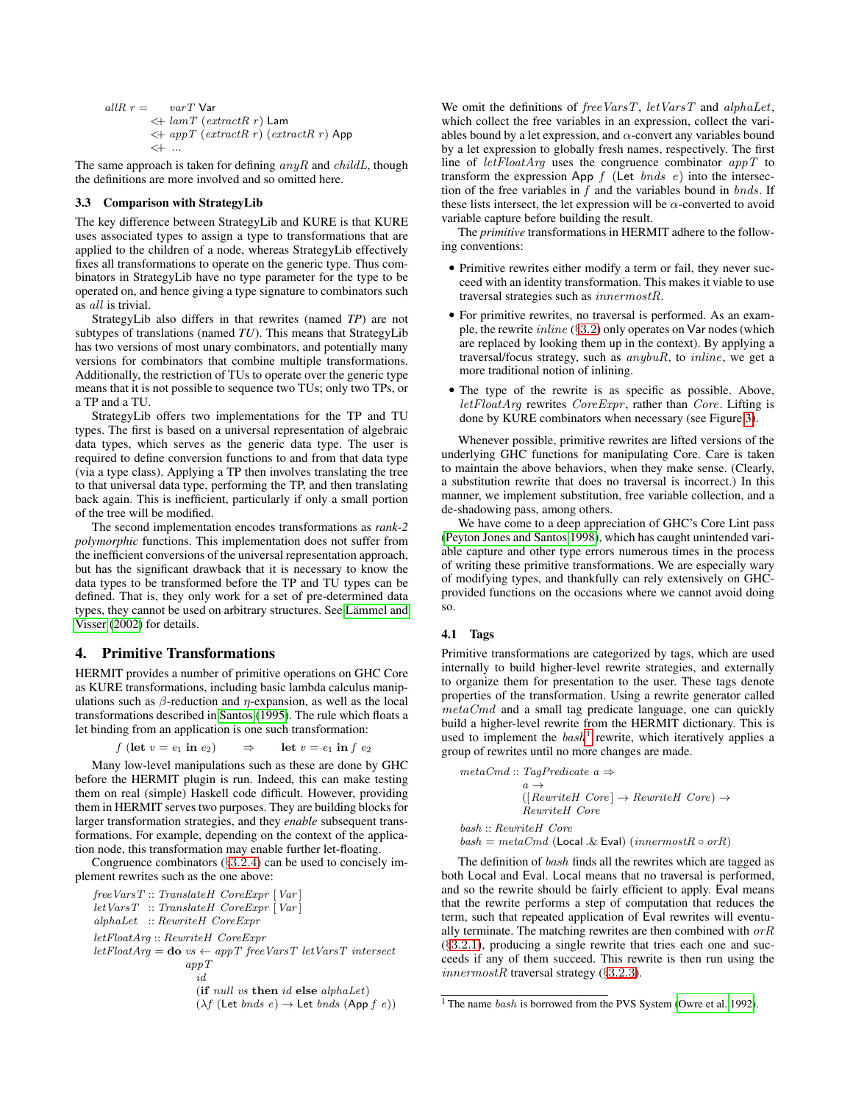$$
allR r = \n \begin{aligned}\n &varT \text{ Var} \\
 &\iff \n \text{Lam} \text{T} \text{ (extract } R r) \text{ Lam} \\
 &\iff \text{app } \text{T} \text{ (extract } R r) \text{ (extract } R r) \text{ App} \\
 &\iff \n \dots\n \end{aligned}
$$

The same approach is taken for defining  $anyR$  and  $childL$ , though the definitions are more involved and so omitted here.

#### <span id="page-6-1"></span>3.3 Comparison with StrategyLib

The key difference between StrategyLib and KURE is that KURE uses associated types to assign a type to transformations that are applied to the children of a node, whereas StrategyLib effectively fixes all transformations to operate on the generic type. Thus combinators in StrategyLib have no type parameter for the type to be operated on, and hence giving a type signature to combinators such as all is trivial.

StrategyLib also differs in that rewrites (named *TP*) are not subtypes of translations (named *TU*). This means that StrategyLib has two versions of most unary combinators, and potentially many versions for combinators that combine multiple transformations. Additionally, the restriction of TUs to operate over the generic type means that it is not possible to sequence two TUs; only two TPs, or a TP and a TU.

StrategyLib offers two implementations for the TP and TU types. The first is based on a universal representation of algebraic data types, which serves as the generic data type. The user is required to define conversion functions to and from that data type (via a type class). Applying a TP then involves translating the tree to that universal data type, performing the TP, and then translating back again. This is inefficient, particularly if only a small portion of the tree will be modified.

The second implementation encodes transformations as *rank-2 polymorphic* functions. This implementation does not suffer from the inefficient conversions of the universal representation approach, but has the significant drawback that it is necessary to know the data types to be transformed before the TP and TU types can be defined. That is, they only work for a set of pre-determined data types, they cannot be used on arbitrary structures. See Lämmel and [Visser](#page-11-25) [\(2002\)](#page-11-25) for details.

### <span id="page-6-0"></span>4. Primitive Transformations

HERMIT provides a number of primitive operations on GHC Core as KURE transformations, including basic lambda calculus manipulations such as  $\beta$ -reduction and  $\eta$ -expansion, as well as the local transformations described in [Santos](#page-11-28) [\(1995\)](#page-11-28). The rule which floats a let binding from an application is one such transformation:

$$
f
$$
 (let  $v = e_1$  in  $e_2$ )  $\Rightarrow$  let  $v = e_1$  in  $f$   $e_2$ 

Many low-level manipulations such as these are done by GHC before the HERMIT plugin is run. Indeed, this can make testing them on real (simple) Haskell code difficult. However, providing them in HERMIT serves two purposes. They are building blocks for larger transformation strategies, and they *enable* subsequent transformations. For example, depending on the context of the application node, this transformation may enable further let-floating.

Congruence combinators (§[3](#page-5-0).2.4) can be used to concisely implement rewrites such as the one above:

```
freeVarsT :: TranslateH CoreExpr [Var ]
letVarsT :: TranslateH CoreExpr [Var]alphaLet :: RewriteH CoreExpr
letFloatArg :: RewriteH CoreExpr
letFloatArg =do vs \leftarrow appT freeVarsT letVarsT intersect
                    appT
                       id
                       (if null vs then id else alphaLet)
                       (\lambda f \text{ (Let }bnds \text{ } e) \rightarrow \text{Let }bnds \text{ (App f } e))
```
We omit the definitions of free VarsT, let VarsT and alphaLet, which collect the free variables in an expression, collect the variables bound by a let expression, and  $\alpha$ -convert any variables bound by a let expression to globally fresh names, respectively. The first line of  $letFloatArg$  uses the congruence combinator  $appT$  to transform the expression App  $f$  (Let bnds  $e$ ) into the intersection of the free variables in  $f$  and the variables bound in  $bnds$ . If these lists intersect, the let expression will be  $\alpha$ -converted to avoid variable capture before building the result.

The *primitive* transformations in HERMIT adhere to the following conventions:

- Primitive rewrites either modify a term or fail, they never succeed with an identity transformation. This makes it viable to use traversal strategies such as innermostR.
- For primitive rewrites, no traversal is performed. As an example, the rewrite *inline* (§[3](#page-3-0).2) only operates on Var nodes (which are replaced by looking them up in the context). By applying a traversal/focus strategy, such as  $anybuR$ , to *inline*, we get a more traditional notion of inlining.
- The type of the rewrite is as specific as possible. Above,  $letFloatArg$  rewrites  $CoreExpr$ , rather than  $Core$ . Lifting is done by KURE combinators when necessary (see Figure [3\)](#page-5-1).

Whenever possible, primitive rewrites are lifted versions of the underlying GHC functions for manipulating Core. Care is taken to maintain the above behaviors, when they make sense. (Clearly, a substitution rewrite that does no traversal is incorrect.) In this manner, we implement substitution, free variable collection, and a de-shadowing pass, among others.

We have come to a deep appreciation of GHC's Core Lint pass [\(Peyton Jones and Santos 1998\)](#page-11-29), which has caught unintended variable capture and other type errors numerous times in the process of writing these primitive transformations. We are especially wary of modifying types, and thankfully can rely extensively on GHCprovided functions on the occasions where we cannot avoid doing so.

#### 4.1 Tags

Primitive transformations are categorized by tags, which are used internally to build higher-level rewrite strategies, and externally to organize them for presentation to the user. These tags denote properties of the transformation. Using a rewrite generator called  $metaCmd$  and a small tag predicate language, one can quickly build a higher-level rewrite from the HERMIT dictionary. This is used to implement the  $bash<sup>1</sup>$  $bash<sup>1</sup>$  $bash<sup>1</sup>$  rewrite, which iteratively applies a group of rewrites until no more changes are made.

```
metaCmd :: TagPredicte a \Rightarrowa \rightarrow([RewriteH Core] \rightarrow RewriteH Core) \rightarrowRewriteH Core
bash :: RewriteH Core
bash = metaCmd (Local .& Eval) (innermostR \circ orR)
```
The definition of bash finds all the rewrites which are tagged as both Local and Eval. Local means that no traversal is performed, and so the rewrite should be fairly efficient to apply. Eval means that the rewrite performs a step of computation that reduces the term, such that repeated application of Eval rewrites will eventually terminate. The matching rewrites are then combined with  $\sigma rR$ (§[3](#page-3-1).2.1), producing a single rewrite that tries each one and succeeds if any of them succeed. This rewrite is then run using the *innermostR* traversal strategy  $(\S3.2.3)$  $(\S3.2.3)$  $(\S3.2.3)$ .

<span id="page-6-2"></span><sup>&</sup>lt;sup>1</sup> The name *bash* is borrowed from the PVS System [\(Owre et al. 1992\)](#page-11-30).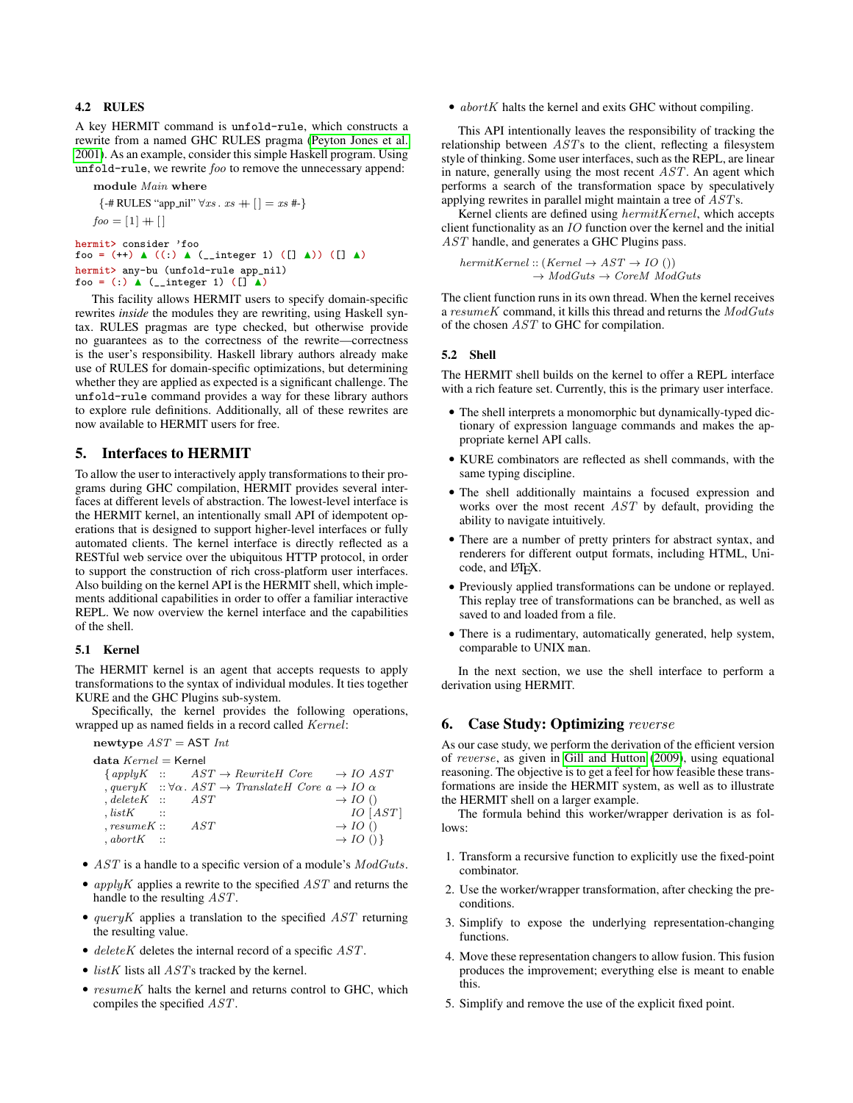# 4.2 RULES

A key HERMIT command is unfold-rule, which constructs a rewrite from a named GHC RULES pragma [\(Peyton Jones et al.](#page-11-31) [2001\)](#page-11-31). As an example, consider this simple Haskell program. Using unfold-rule, we rewrite foo to remove the unnecessary append:

module Main where

 $\{-#$  RULES "app\_nil"  $\forall xs \cdot xs + [ ] = xs + \}$  $foo = [1] + [$ 

hermit> consider 'foo foo = (++)  $\triangle$  ((:)  $\triangle$  (\_integer 1) ([]  $\triangle$ )) ([]  $\triangle$ ) hermit> any-bu (unfold-rule app\_nil) foo = (:)  $\triangle$  (\_\_integer 1) ([]  $\triangle$ )

This facility allows HERMIT users to specify domain-specific rewrites *inside* the modules they are rewriting, using Haskell syntax. RULES pragmas are type checked, but otherwise provide no guarantees as to the correctness of the rewrite—correctness is the user's responsibility. Haskell library authors already make use of RULES for domain-specific optimizations, but determining whether they are applied as expected is a significant challenge. The unfold-rule command provides a way for these library authors to explore rule definitions. Additionally, all of these rewrites are now available to HERMIT users for free.

# <span id="page-7-3"></span>5. Interfaces to HERMIT

To allow the user to interactively apply transformations to their programs during GHC compilation, HERMIT provides several interfaces at different levels of abstraction. The lowest-level interface is the HERMIT kernel, an intentionally small API of idempotent operations that is designed to support higher-level interfaces or fully automated clients. The kernel interface is directly reflected as a RESTful web service over the ubiquitous HTTP protocol, in order to support the construction of rich cross-platform user interfaces. Also building on the kernel API is the HERMIT shell, which implements additional capabilities in order to offer a familiar interactive REPL. We now overview the kernel interface and the capabilities of the shell.

#### <span id="page-7-0"></span>5.1 Kernel

The HERMIT kernel is an agent that accepts requests to apply transformations to the syntax of individual modules. It ties together KURE and the GHC Plugins sub-system.

Specifically, the kernel provides the following operations, wrapped up as named fields in a record called Kernel:

```
newtype AST = AST Int
```

| $\mathtt{data}$ $Kernel=$ Kernel |                    |                                                                                              |                       |  |
|----------------------------------|--------------------|----------------------------------------------------------------------------------------------|-----------------------|--|
|                                  |                    | $\{applyK :: AST \rightarrow RewriteH \; Core \rightarrow IOAST\}$                           |                       |  |
|                                  |                    | $, query K :: \forall \alpha$ . AST $\rightarrow$ Translate H Core $a \rightarrow IO \alpha$ |                       |  |
|                                  | deleteK :: AST     |                                                                                              | $\rightarrow$ IO ()   |  |
| , listK ::                       |                    |                                                                                              | $IO$ [AST]            |  |
|                                  | $resumeK ::$ $AST$ |                                                                                              | $\rightarrow$ IO ()   |  |
| , abortK ::                      |                    |                                                                                              | $\rightarrow$ IO () } |  |

- $AST$  is a handle to a specific version of a module's  $ModGuts$ .
- $applyK$  applies a rewrite to the specified  $AST$  and returns the handle to the resulting AST.
- queryK applies a translation to the specified  $AST$  returning the resulting value.
- deleteK deletes the internal record of a specific  $AST$ .
- *listK* lists all  $ASTs$  tracked by the kernel.
- $\bullet$  resumeK halts the kernel and returns control to GHC, which compiles the specified AST.

 $\bullet$  abortK halts the kernel and exits GHC without compiling.

This API intentionally leaves the responsibility of tracking the relationship between ASTs to the client, reflecting a filesystem style of thinking. Some user interfaces, such as the REPL, are linear in nature, generally using the most recent AST. An agent which performs a search of the transformation space by speculatively applying rewrites in parallel might maintain a tree of ASTs.

Kernel clients are defined using  $hermitKernel$ , which accepts client functionality as an IO function over the kernel and the initial AST handle, and generates a GHC Plugins pass.

 $hermitKernel :: (Kernel \rightarrow AST \rightarrow IO())$  $\rightarrow ModGuts \rightarrow CoreM\ ModGuts$ 

The client function runs in its own thread. When the kernel receives a resumeK command, it kills this thread and returns the ModGuts of the chosen AST to GHC for compilation.

#### <span id="page-7-1"></span>5.2 Shell

The HERMIT shell builds on the kernel to offer a REPL interface with a rich feature set. Currently, this is the primary user interface.

- The shell interprets a monomorphic but dynamically-typed dictionary of expression language commands and makes the appropriate kernel API calls.
- KURE combinators are reflected as shell commands, with the same typing discipline.
- The shell additionally maintains a focused expression and works over the most recent AST by default, providing the ability to navigate intuitively.
- There are a number of pretty printers for abstract syntax, and renderers for different output formats, including HTML, Unicode, and L<sup>AT</sup>FX.
- Previously applied transformations can be undone or replayed. This replay tree of transformations can be branched, as well as saved to and loaded from a file.
- There is a rudimentary, automatically generated, help system, comparable to UNIX man.

In the next section, we use the shell interface to perform a derivation using HERMIT.

# <span id="page-7-2"></span>6. Case Study: Optimizing reverse

As our case study, we perform the derivation of the efficient version of reverse, as given in [Gill and Hutton](#page-11-3) [\(2009\)](#page-11-3), using equational reasoning. The objective is to get a feel for how feasible these transformations are inside the HERMIT system, as well as to illustrate the HERMIT shell on a larger example.

The formula behind this worker/wrapper derivation is as follows:

- 1. Transform a recursive function to explicitly use the fixed-point combinator.
- 2. Use the worker/wrapper transformation, after checking the preconditions.
- 3. Simplify to expose the underlying representation-changing functions.
- 4. Move these representation changers to allow fusion. This fusion produces the improvement; everything else is meant to enable this.
- 5. Simplify and remove the use of the explicit fixed point.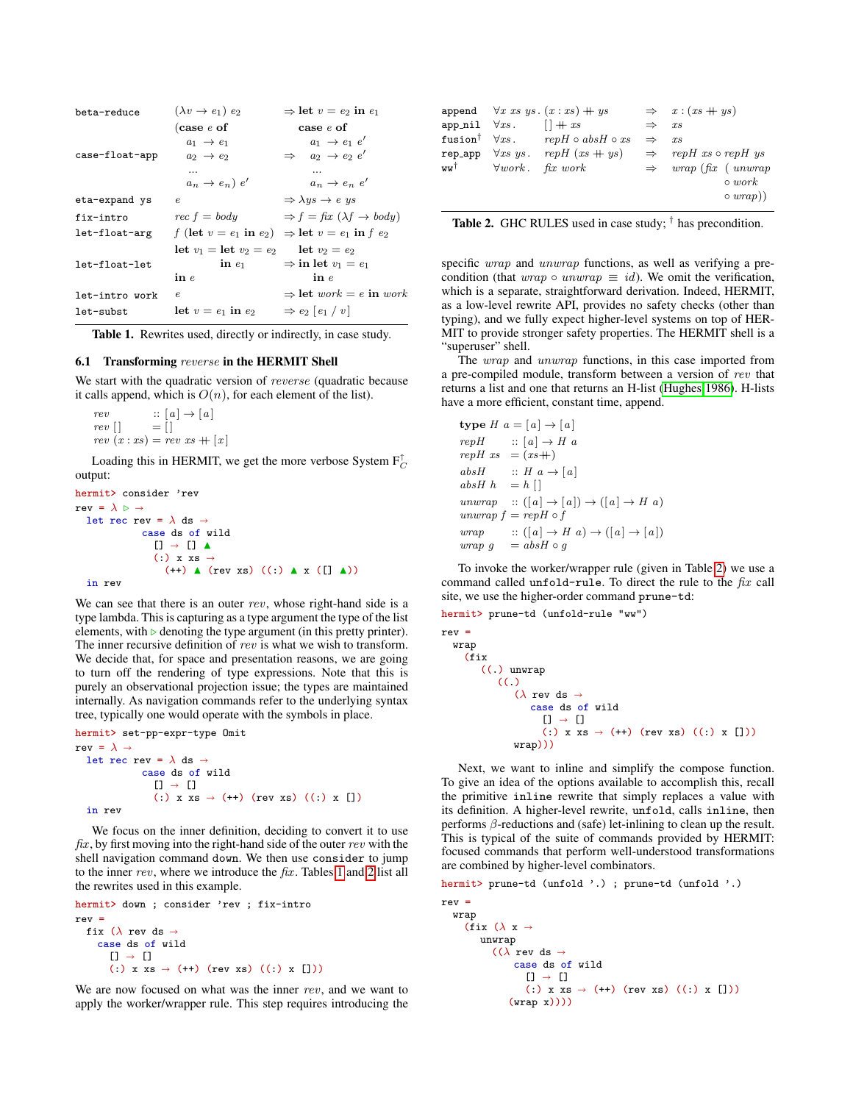| beta-reduce    | $(\lambda v \rightarrow e_1) e_2$         | $\Rightarrow$ let $v = e_2$ in $e_1$                               |
|----------------|-------------------------------------------|--------------------------------------------------------------------|
|                | $(\case\ e\ of)$                          | case e of                                                          |
|                | $a_1 \rightarrow e_1$                     | $a_1 \rightarrow e_1 e'$                                           |
| case-float-app | $a_2 \rightarrow e_2$                     | $\Rightarrow$ $a_2 \rightarrow e_2 e'$                             |
|                | .                                         |                                                                    |
|                | $a_n \rightarrow e_n$ ) e'                | $a_n \rightarrow e_n e'$                                           |
| eta-expand ys  | $\epsilon$                                | $\Rightarrow \lambda ys \rightarrow e ys$                          |
| fix-intro      | $rec f = body$                            | $\Rightarrow$ f = fix ( $\lambda f \rightarrow body$ )             |
| let-float-arg  |                                           | f (let $v = e_1$ in $e_2$ ) $\Rightarrow$ let $v = e_1$ in f $e_2$ |
|                | <b>let</b> $v_1 =$ <b>let</b> $v_2 = e_2$ | $\det v_2 = e_2$                                                   |
| let-float-let  | in $e_1$                                  | $\Rightarrow$ in let $v_1 = e_1$                                   |
|                | in e                                      | $\mathbf{in}$ $e$                                                  |
| let-intro work | $\epsilon$                                | $\Rightarrow$ let work = e in work                                 |
| let-subst      | let $v = e_1$ in $e_2$                    | $\Rightarrow e_2$ [e <sub>1</sub> / v]                             |

<span id="page-8-0"></span>Table 1. Rewrites used, directly or indirectly, in case study.

#### 6.1 Transforming reverse in the HERMIT Shell

We start with the quadratic version of *reverse* (quadratic because it calls append, which is  $O(n)$ , for each element of the list).

rev  $\begin{array}{cc} \text{rev} & \cdots & \text{rel} [a] \rightarrow [a] \text{rev} & \text{rel} \end{array}$  $= [] \label{eq:1}$  $rev(x:xs) = rev xs + [x]$ 

Loading this in HERMIT, we get the more verbose System  $F_C^{\dagger}$ output:

```
hermit> consider 'rev
rev = \lambda \ge \rightarrowlet rec rev = \lambda ds \rightarrowcase ds of wild
                    [] \rightarrow [] \triangle(:) x xs \rightarrow(++) (rev xs) ((:) \wedge x ([] \wedge))
  in rev
```
We can see that there is an outer rev, whose right-hand side is a type lambda. This is capturing as a type argument the type of the list elements, with  $\triangleright$  denoting the type argument (in this pretty printer). The inner recursive definition of rev is what we wish to transform. We decide that, for space and presentation reasons, we are going to turn off the rendering of type expressions. Note that this is purely an observational projection issue; the types are maintained internally. As navigation commands refer to the underlying syntax tree, typically one would operate with the symbols in place.

```
hermit> set-pp-expr-type Omit
rev = \lambda \rightarrowlet rec rev = \lambda ds \rightarrowcase ds of wild
                  [] \rightarrow [](:) x xs \rightarrow (++) (rev xs) ((:) x [])
  in rev
```
We focus on the inner definition, deciding to convert it to use  $fix$ , by first moving into the right-hand side of the outer  $rev$  with the shell navigation command down. We then use consider to jump to the inner  $rev$ , where we introduce the  $fix$ . Tables [1](#page-8-0) and [2](#page-8-1) list all the rewrites used in this example.

```
hermit> down ; consider 'rev ; fix-intro
rev =
  fix (\lambda rev ds \rightarrowcase ds of wild
       [] \rightarrow [](:) x xs \rightarrow (++) (rev xs) ((:) x []))
```
We are now focused on what was the inner rev, and we want to apply the worker/wrapper rule. This step requires introducing the

|                              |                                       | append $\forall x \; xs \; ys. (x : xs) + ys$     |               | $\Rightarrow x:(xs + ys)$                          |
|------------------------------|---------------------------------------|---------------------------------------------------|---------------|----------------------------------------------------|
|                              | app_nil $\forall xs.$ $[$ $]$ $\# xs$ |                                                   | $\Rightarrow$ | xs                                                 |
|                              |                                       | fusion $\forall xs.$ repH $\circ$ absH $\circ xs$ | $\Rightarrow$ | xs                                                 |
| rep_app $\forall xs \; ys$ . |                                       |                                                   |               | $repH (xs + ys) \Rightarrow repH xs \circ repH ys$ |
| $w\overline{v}$              | $\forall work.$ fix work              |                                                   |               | $\Rightarrow$ wrap (fix (unwrap)                   |
|                              |                                       |                                                   |               | $\circ$ work                                       |
|                              |                                       |                                                   |               | $\circ$ wrap))                                     |
|                              |                                       |                                                   |               |                                                    |

<span id="page-8-1"></span>Table 2. GHC RULES used in case study;  $\dagger$  has precondition.

specific *wrap* and *unwrap* functions, as well as verifying a precondition (that wrap  $\circ$  unwrap  $\equiv id$ ). We omit the verification, which is a separate, straightforward derivation. Indeed, HERMIT, as a low-level rewrite API, provides no safety checks (other than typing), and we fully expect higher-level systems on top of HER-MIT to provide stronger safety properties. The HERMIT shell is a "superuser" shell.

The wrap and unwrap functions, in this case imported from a pre-compiled module, transform between a version of rev that returns a list and one that returns an H-list [\(Hughes 1986\)](#page-11-32). H-lists have a more efficient, constant time, append.

```
type H a = [a] \rightarrow [a]repH :: [a] \rightarrow H arepH xs = (xs + 1)absH :: H a \rightarrow [a]absH h = h []
unwrap :: ([a] \rightarrow [a]) \rightarrow ([a] \rightarrow H a)unwrap f = repH \circ fwrap :: ([a] \rightarrow H \ a) \rightarrow ([a] \rightarrow [a])wrap g = absH \circ g
```
To invoke the worker/wrapper rule (given in Table [2\)](#page-8-1) we use a command called unfold-rule. To direct the rule to the fix call site, we use the higher-order command prune-td:

hermit> prune-td (unfold-rule "ww")

```
rev =
  wrap
     (fix
         ((.) unwrap
             (.)
                (\lambda rev ds \rightarrowcase ds of wild
                      [] \rightarrow [](:) x xs \rightarrow (++) (rev xs) ((:) x []))
                wrap)))
```
Next, we want to inline and simplify the compose function. To give an idea of the options available to accomplish this, recall the primitive inline rewrite that simply replaces a value with its definition. A higher-level rewrite, unfold, calls inline, then performs  $\beta$ -reductions and (safe) let-inlining to clean up the result. This is typical of the suite of commands provided by HERMIT: focused commands that perform well-understood transformations are combined by higher-level combinators.

hermit> prune-td (unfold '.) ; prune-td (unfold '.)

```
rev =
  wrap
     (fix (\lambda x \rightarrowunwrap
            ((\lambda rev ds \rightarrowcase ds of wild
                    [] \rightarrow [](:) x xs \rightarrow (++) (rev xs) ((:) x []))
                (wrap x))))
```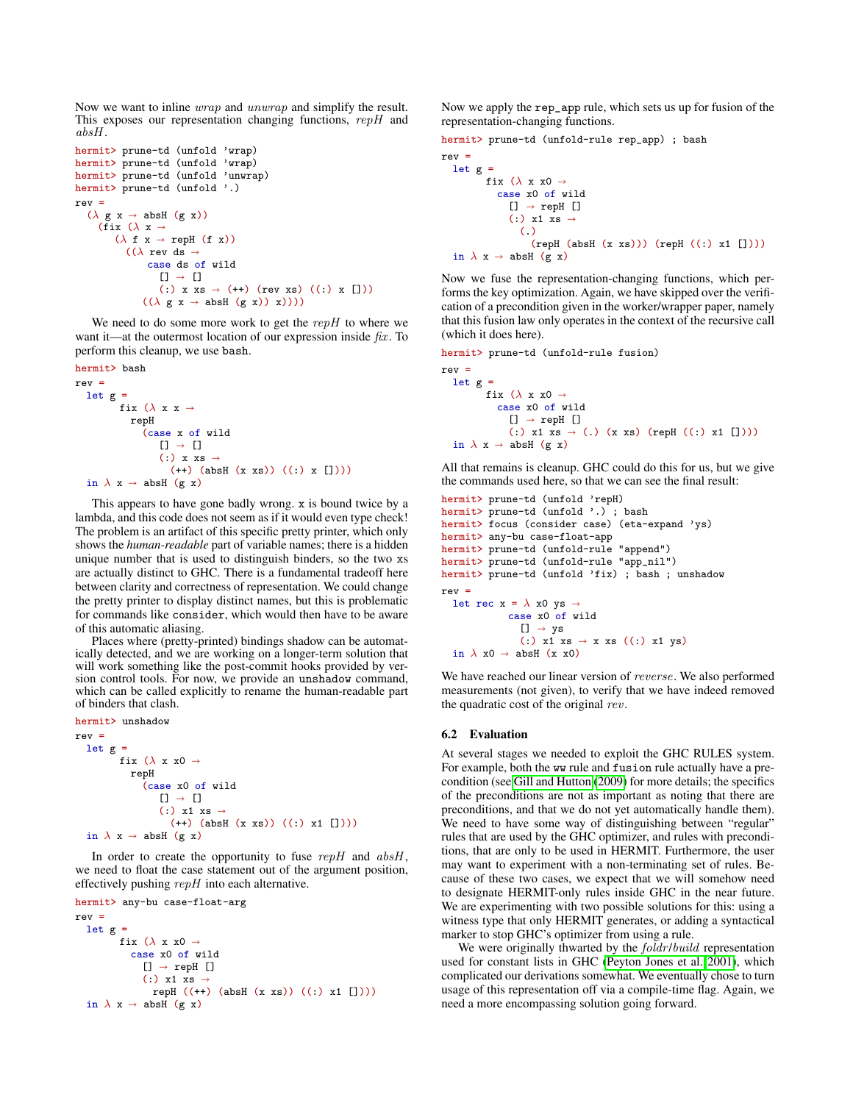Now we want to inline wrap and unwrap and simplify the result. This exposes our representation changing functions,  $repH$  and absH .

```
hermit> prune-td (unfold 'wrap)
hermit> prune-td (unfold 'wrap)
hermit> prune-td (unfold 'unwrap)
hermit> prune-td (unfold '.)
rev =
  (\lambda \ g \ x \rightarrow absH (g x))(fix (\lambda x \rightarrow(\lambda f x \rightarrow \text{repH } (f x))((\lambda \text{ rev ds} \rightarrowcase ds of wild
                    [] \rightarrow [](:) x xs \rightarrow (++) (rev xs) ((:) x []))
                ((\lambda \ g \ x \rightarrow absH (g x)) x))))
```
We need to do some more work to get the  $repH$  to where we want it—at the outermost location of our expression inside  $\beta x$ . To perform this cleanup, we use bash.

```
hermit> bash
rev =
  let g =fix (\lambda \times x \rightarrowrepH
                (case x of wild
                    [] \rightarrow [](:) x xs \rightarrow(++) (absH (x xs)) ((:) x [])))
  in \lambda x \rightarrow absH (g x)
```
This appears to have gone badly wrong. x is bound twice by a lambda, and this code does not seem as if it would even type check! The problem is an artifact of this specific pretty printer, which only shows the *human-readable* part of variable names; there is a hidden unique number that is used to distinguish binders, so the two xs are actually distinct to GHC. There is a fundamental tradeoff here between clarity and correctness of representation. We could change the pretty printer to display distinct names, but this is problematic for commands like consider, which would then have to be aware of this automatic aliasing.

Places where (pretty-printed) bindings shadow can be automatically detected, and we are working on a longer-term solution that will work something like the post-commit hooks provided by version control tools. For now, we provide an unshadow command, which can be called explicitly to rename the human-readable part of binders that clash.

```
hermit> unshadow
rev =
  let g =fix (\lambda \times x0 \rightarrowrepH
                (case x0 of wild
                    [] \rightarrow [](:) x1 xs \rightarrow(++) (absH (x xs)) ((:) x1 [])))
  in \lambda x \rightarrow absH (g x)
```
In order to create the opportunity to fuse  $repH$  and  $absH$ , we need to float the case statement out of the argument position, effectively pushing  $repH$  into each alternative.

```
hermit> any-bu case-float-arg
rev =
  let g =fix (\lambda \times x0 \rightarrowcase x0 of wild
                [] \rightarrow \text{repH} [](:) x1 xs \rightarrowrepH ((++) (absH (x xs)) ((:) x1 [])))
  in \lambda x \rightarrow absH (g x)
```
Now we apply the rep\_app rule, which sets us up for fusion of the representation-changing functions.

```
hermit> prune-td (unfold-rule rep_app) ; bash
```

```
rev =
  let g =
           fix (\lambda \times x0 \rightarrowcase x0 of wild
                [] \rightarrow repH [](:) x1 xs \rightarrow(.)
                      (repH (absH (x xs))) (repH ((:) x1 [])))
  in \lambda x \rightarrow absH (g x)
```
Now we fuse the representation-changing functions, which performs the key optimization. Again, we have skipped over the verification of a precondition given in the worker/wrapper paper, namely that this fusion law only operates in the context of the recursive call (which it does here).

```
hermit> prune-td (unfold-rule fusion)
```

```
rev =
  let g =fix (\lambda \times x0 \rightarrowcase x0 of wild
                [] \rightarrow repH [](:) x1 xs \rightarrow (.) (x xs) (repH ((:) x1 [])))
  in \lambda x \rightarrow absH (g x)
```
All that remains is cleanup. GHC could do this for us, but we give the commands used here, so that we can see the final result:

```
hermit> prune-td (unfold 'repH)
hermit> prune-td (unfold '.); bash
hermit> focus (consider case) (eta-expand 'ys)
hermit> any-bu case-float-app
hermit> prune-td (unfold-rule "append")
hermit> prune-td (unfold-rule "app_nil")
hermit> prune-td (unfold 'fix) ; bash ; unshadow
rev =
  let rec x = \lambda x0 ys \rightarrowcase x0 of wild
               [] \rightarrow ys(:) x1 xs \rightarrow x xs ((:) x1 ys)
  in \lambda x0 \rightarrow absH (x x0)
```
We have reached our linear version of *reverse*. We also performed measurements (not given), to verify that we have indeed removed the quadratic cost of the original rev.

# 6.2 Evaluation

At several stages we needed to exploit the GHC RULES system. For example, both the ww rule and fusion rule actually have a precondition (see [Gill and Hutton](#page-11-3) [\(2009\)](#page-11-3) for more details; the specifics of the preconditions are not as important as noting that there are preconditions, and that we do not yet automatically handle them). We need to have some way of distinguishing between "regular" rules that are used by the GHC optimizer, and rules with preconditions, that are only to be used in HERMIT. Furthermore, the user may want to experiment with a non-terminating set of rules. Because of these two cases, we expect that we will somehow need to designate HERMIT-only rules inside GHC in the near future. We are experimenting with two possible solutions for this: using a witness type that only HERMIT generates, or adding a syntactical marker to stop GHC's optimizer from using a rule.

We were originally thwarted by the *foldr/build* representation used for constant lists in GHC [\(Peyton Jones et al. 2001\)](#page-11-31), which complicated our derivations somewhat. We eventually chose to turn usage of this representation off via a compile-time flag. Again, we need a more encompassing solution going forward.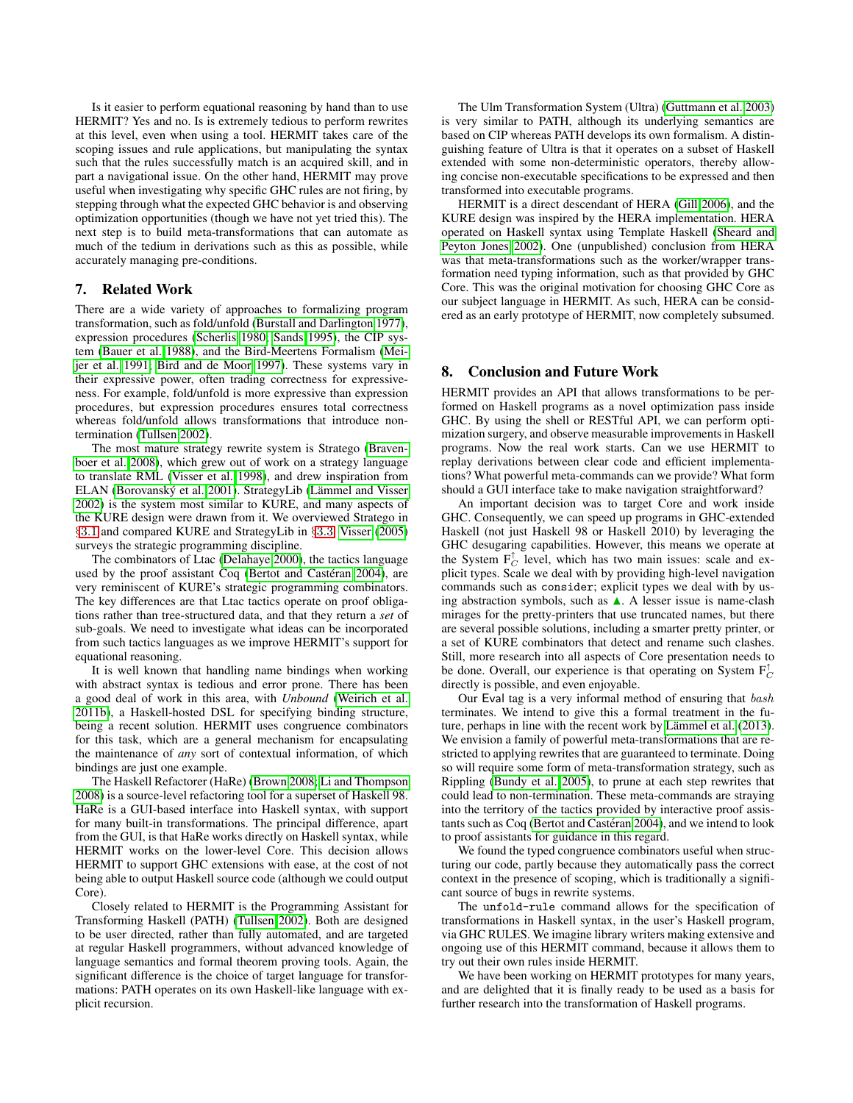Is it easier to perform equational reasoning by hand than to use HERMIT? Yes and no. Is is extremely tedious to perform rewrites at this level, even when using a tool. HERMIT takes care of the scoping issues and rule applications, but manipulating the syntax such that the rules successfully match is an acquired skill, and in part a navigational issue. On the other hand, HERMIT may prove useful when investigating why specific GHC rules are not firing, by stepping through what the expected GHC behavior is and observing optimization opportunities (though we have not yet tried this). The next step is to build meta-transformations that can automate as much of the tedium in derivations such as this as possible, while accurately managing pre-conditions.

#### 7. Related Work

There are a wide variety of approaches to formalizing program transformation, such as fold/unfold [\(Burstall and Darlington 1977\)](#page-11-33), expression procedures [\(Scherlis 1980;](#page-11-34) [Sands 1995\)](#page-11-35), the CIP system [\(Bauer et al. 1988\)](#page-11-36), and the Bird-Meertens Formalism [\(Mei](#page-11-37)[jer et al. 1991;](#page-11-37) [Bird and de Moor 1997\)](#page-11-38). These systems vary in their expressive power, often trading correctness for expressiveness. For example, fold/unfold is more expressive than expression procedures, but expression procedures ensures total correctness whereas fold/unfold allows transformations that introduce nontermination [\(Tullsen 2002\)](#page-11-39).

The most mature strategy rewrite system is Stratego [\(Braven](#page-11-24)[boer et al. 2008\)](#page-11-24), which grew out of work on a strategy language to translate RML [\(Visser et al. 1998\)](#page-11-40), and drew inspiration from ELAN (Borovanský et al. 2001). StrategyLib (Lämmel and Visser [2002\)](#page-11-25) is the system most similar to KURE, and many aspects of the KURE design were drawn from it. We overviewed Stratego in §[3](#page-2-3).1 and compared KURE and StrategyLib in §[3](#page-6-1).3. [Visser](#page-11-18) [\(2005\)](#page-11-18) surveys the strategic programming discipline.

The combinators of Ltac [\(Delahaye 2000\)](#page-11-42), the tactics language used by the proof assistant Coq (Bertot and Castéran 2004), are very reminiscent of KURE's strategic programming combinators. The key differences are that Ltac tactics operate on proof obligations rather than tree-structured data, and that they return a *set* of sub-goals. We need to investigate what ideas can be incorporated from such tactics languages as we improve HERMIT's support for equational reasoning.

It is well known that handling name bindings when working with abstract syntax is tedious and error prone. There has been a good deal of work in this area, with *Unbound* [\(Weirich et al.](#page-11-43) [2011b\)](#page-11-43), a Haskell-hosted DSL for specifying binding structure, being a recent solution. HERMIT uses congruence combinators for this task, which are a general mechanism for encapsulating the maintenance of *any* sort of contextual information, of which bindings are just one example.

The Haskell Refactorer (HaRe) [\(Brown 2008;](#page-11-12) [Li and Thompson](#page-11-13) [2008\)](#page-11-13) is a source-level refactoring tool for a superset of Haskell 98. HaRe is a GUI-based interface into Haskell syntax, with support for many built-in transformations. The principal difference, apart from the GUI, is that HaRe works directly on Haskell syntax, while HERMIT works on the lower-level Core. This decision allows HERMIT to support GHC extensions with ease, at the cost of not being able to output Haskell source code (although we could output Core).

Closely related to HERMIT is the Programming Assistant for Transforming Haskell (PATH) [\(Tullsen 2002\)](#page-11-39). Both are designed to be user directed, rather than fully automated, and are targeted at regular Haskell programmers, without advanced knowledge of language semantics and formal theorem proving tools. Again, the significant difference is the choice of target language for transformations: PATH operates on its own Haskell-like language with explicit recursion.

The Ulm Transformation System (Ultra) [\(Guttmann et al. 2003\)](#page-11-44) is very similar to PATH, although its underlying semantics are based on CIP whereas PATH develops its own formalism. A distinguishing feature of Ultra is that it operates on a subset of Haskell extended with some non-deterministic operators, thereby allowing concise non-executable specifications to be expressed and then transformed into executable programs.

HERMIT is a direct descendant of HERA [\(Gill 2006\)](#page-11-45), and the KURE design was inspired by the HERA implementation. HERA operated on Haskell syntax using Template Haskell [\(Sheard and](#page-11-46) [Peyton Jones 2002\)](#page-11-46). One (unpublished) conclusion from HERA was that meta-transformations such as the worker/wrapper transformation need typing information, such as that provided by GHC Core. This was the original motivation for choosing GHC Core as our subject language in HERMIT. As such, HERA can be considered as an early prototype of HERMIT, now completely subsumed.

#### 8. Conclusion and Future Work

HERMIT provides an API that allows transformations to be performed on Haskell programs as a novel optimization pass inside GHC. By using the shell or RESTful API, we can perform optimization surgery, and observe measurable improvements in Haskell programs. Now the real work starts. Can we use HERMIT to replay derivations between clear code and efficient implementations? What powerful meta-commands can we provide? What form should a GUI interface take to make navigation straightforward?

An important decision was to target Core and work inside GHC. Consequently, we can speed up programs in GHC-extended Haskell (not just Haskell 98 or Haskell 2010) by leveraging the GHC desugaring capabilities. However, this means we operate at the System  $F_C^{\dagger}$  level, which has two main issues: scale and explicit types. Scale we deal with by providing high-level navigation commands such as consider; explicit types we deal with by using abstraction symbols, such as  $\blacktriangle$ . A lesser issue is name-clash mirages for the pretty-printers that use truncated names, but there are several possible solutions, including a smarter pretty printer, or a set of KURE combinators that detect and rename such clashes. Still, more research into all aspects of Core presentation needs to be done. Overall, our experience is that operating on System  $F_C^{\dagger}$ directly is possible, and even enjoyable.

Our Eval tag is a very informal method of ensuring that *bash* terminates. We intend to give this a formal treatment in the fu-ture, perhaps in line with the recent work by Lämmel et al. [\(2013\)](#page-11-47). We envision a family of powerful meta-transformations that are restricted to applying rewrites that are guaranteed to terminate. Doing so will require some form of meta-transformation strategy, such as Rippling [\(Bundy et al. 2005\)](#page-11-48), to prune at each step rewrites that could lead to non-termination. These meta-commands are straying into the territory of the tactics provided by interactive proof assistants such as Coq (Bertot and Castéran 2004), and we intend to look to proof assistants for guidance in this regard.

We found the typed congruence combinators useful when structuring our code, partly because they automatically pass the correct context in the presence of scoping, which is traditionally a significant source of bugs in rewrite systems.

The unfold-rule command allows for the specification of transformations in Haskell syntax, in the user's Haskell program, via GHC RULES. We imagine library writers making extensive and ongoing use of this HERMIT command, because it allows them to try out their own rules inside HERMIT.

We have been working on HERMIT prototypes for many years, and are delighted that it is finally ready to be used as a basis for further research into the transformation of Haskell programs.